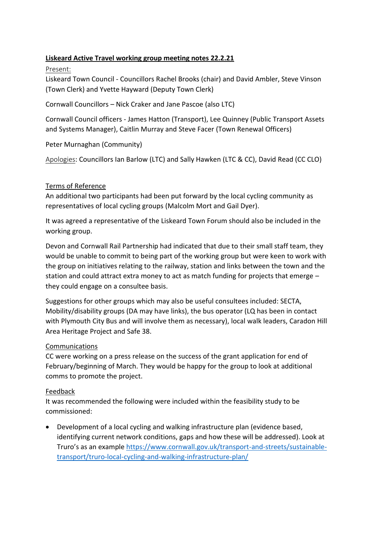# **Liskeard Active Travel working group meeting notes 22.2.21**

Present:

Liskeard Town Council - Councillors Rachel Brooks (chair) and David Ambler, Steve Vinson (Town Clerk) and Yvette Hayward (Deputy Town Clerk)

Cornwall Councillors – Nick Craker and Jane Pascoe (also LTC)

Cornwall Council officers - James Hatton (Transport), Lee Quinney (Public Transport Assets and Systems Manager), Caitlin Murray and Steve Facer (Town Renewal Officers)

Peter Murnaghan (Community)

Apologies: Councillors Ian Barlow (LTC) and Sally Hawken (LTC & CC), David Read (CC CLO)

## Terms of Reference

An additional two participants had been put forward by the local cycling community as representatives of local cycling groups (Malcolm Mort and Gail Dyer).

It was agreed a representative of the Liskeard Town Forum should also be included in the working group.

Devon and Cornwall Rail Partnership had indicated that due to their small staff team, they would be unable to commit to being part of the working group but were keen to work with the group on initiatives relating to the railway, station and links between the town and the station and could attract extra money to act as match funding for projects that emerge – they could engage on a consultee basis.

Suggestions for other groups which may also be useful consultees included: SECTA, Mobility/disability groups (DA may have links), the bus operator (LQ has been in contact with Plymouth City Bus and will involve them as necessary), local walk leaders, Caradon Hill Area Heritage Project and Safe 38.

## Communications

CC were working on a press release on the success of the grant application for end of February/beginning of March. They would be happy for the group to look at additional comms to promote the project.

## Feedback

It was recommended the following were included within the feasibility study to be commissioned:

• Development of a local cycling and walking infrastructure plan (evidence based, identifying current network conditions, gaps and how these will be addressed). Look at Truro's as an example [https://www.cornwall.gov.uk/transport-and-streets/sustainable](https://www.cornwall.gov.uk/transport-and-streets/sustainable-transport/truro-local-cycling-and-walking-infrastructure-plan/)[transport/truro-local-cycling-and-walking-infrastructure-plan/](https://www.cornwall.gov.uk/transport-and-streets/sustainable-transport/truro-local-cycling-and-walking-infrastructure-plan/)